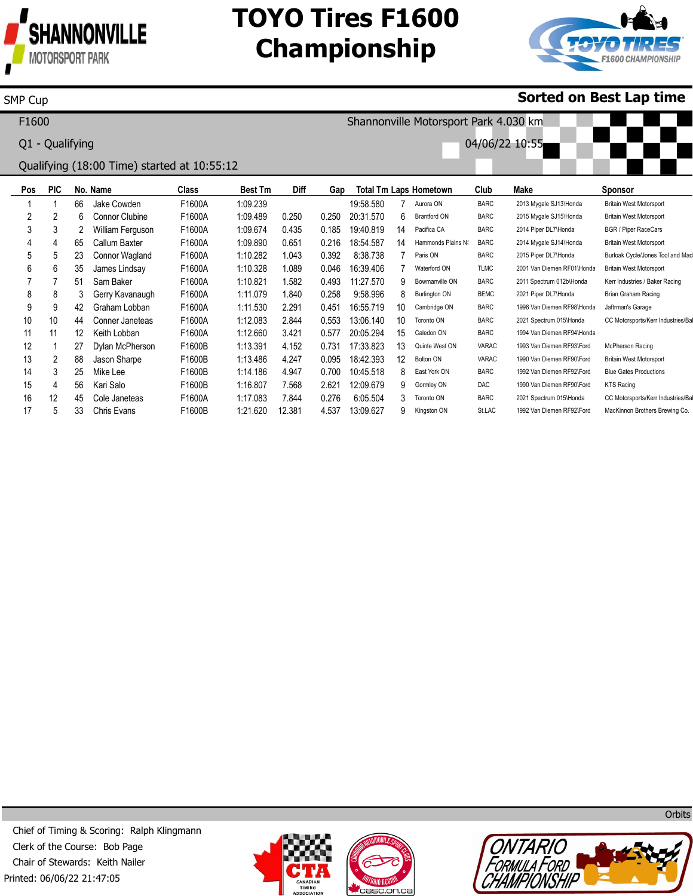

15 16 17

SMP Cup

4 12 5

56 45 33

Kari Salo Cole Janeteas Chris Evans

F1600B F1600A F1600B 1:16.807 1:17.083 1:21.620

7.568 7.844 12.381

2.621 0.276 4.537

12:09.679 6:05.504 13:09.627 9 3 9

Gormley ON Toronto ON Kingston ON DAC BARC St.LAC 1990 Van Diemen RF90\Ford 2021 Spectrum 015\Honda 1992 Van Diemen RF92\Ford KTS Racing

CC Motorsports/Kerr Industries/Ba MacKinnon Brothers Brewing Co.

## **TOYO Tires F1600 Championship**



## **Sorted on Best Lap time**

**Pos** 1 2 3 4 5 6 7 8 9 10 11 12 13 14 **PIC** 1 2 3 4 5 6 7 8 9 10 11 1 2 3 **No. Name** 66 6 2 65 23 35 51 3 42 44 12 27 88 25 Jake Cowden Connor Clubine William Ferguson Callum Baxter Connor Wagland James Lindsay Sam Baker Gerry Kavanaugh Graham Lobban Conner Janeteas Keith Lobban Dylan McPherson Jason Sharpe Mike Lee **Class** F1600A F1600A F1600A F1600A F1600A F1600A F1600A F1600A F1600A F1600A F1600A F1600B F1600B F1600B **Best Tm** 1:09.239 1:09.489 1:09.674 1:09.890 1:10.282 1:10.328 1:10.821 1:11.079 1:11.530 1:12.083 1:12.660 1:13.391 1:13.486 1:14.186 **Diff** 0.250 0.435 0.651 1.043 1.089 1.582 1.840 2.291 2.844 3.421 4.152 4.247 4.947 **Gap** 0.250 0.185 0.216 0.392 0.046 0.493 0.258 0.451 0.553 0.577 0.731 0.095 0.700 **Total Tm Laps Hometown** 19:58.580 20:31.570 19:40.819 18:54.587 8:38.738 16:39.406 11:27.570 9:58.996 16:55.719 13:06.140 20:05.294 17:33.823 18:42.393 10:45.518 7 6 14 14 7 7 9 8 10 10 15 13 12 8 Aurora ON Brantford ON Pacifica CA Hammonds Plains N Paris ON Waterford ON Bowmanville ON Burlington ON Cambridge ON Toronto ON Caledon ON Quinte West ON Bolton ON East York ON **Club** BARC BARC BARC BARC BARC TLMC BARC BEMC BARC BARC BARC VARAC VARAC BARC **Make** 2013 Mygale SJ13\Honda 2015 Mygale SJ15\Honda 2014 Piper DL7\Honda 2014 Mygale SJ14\Honda 2015 Piper DL7\Honda 2001 Van Diemen RF01\Honda 2011 Spectrum 012b\Honda 2021 Piper DL7\Honda 1998 Van Diemen RF98\Honda 2021 Spectrum 015\Honda 1994 Van Diemen RF94\Honda 1993 Van Diemen RF93\Ford 1990 Van Diemen RF90\Ford 1992 Van Diemen RF92\Ford **Sponsor** Britain West Motorsport Britain West Motorsport BGR / Piper RaceCars Britain West Motorsport Burloak Cycle/Jones Tool and Ma Britain West Motorsport Kerr Industries / Baker Racing Brian Graham Racing Jaftrman's Garage CC Motorsports/Kerr Industries/Ba McPherson Racing Britain West Motorsport Blue Gates Productions F1600 Q1 - Qualifying Qualifying (18:00 Time) started at 10:55:12 Shannonville Motorsport Park 4.030 km 04/06/22 10:55

Printed: 06/06/22 21:47:05 Chief of Timing & Scoring: Ralph Klingmann Clerk of the Course: Bob Page Chair of Stewards: Keith Nailer







**Orbits**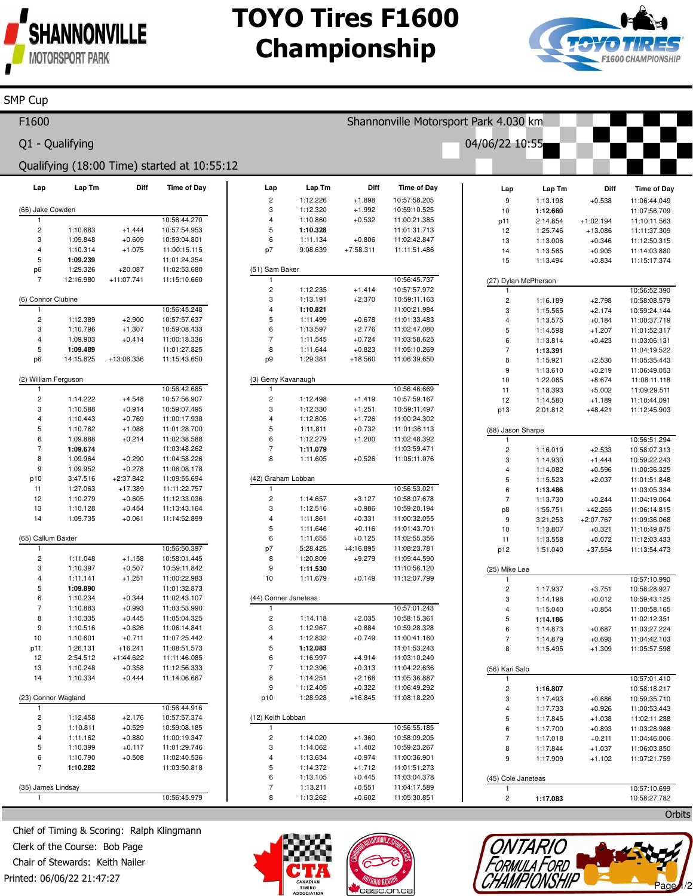

SMP Cup

## **TOYO Tires F1600 Championship**



 $\mathcal{N}$  where  $\mathcal{N}$ 

Page 1/2

TONTARIO<br>FORMULA FORD<br>CHAMPIONSHIP

| Q1 - Qualifying<br>04/06/22 10:55<br>Qualifying (18:00 Time) started at 10:55:12<br>Diff<br><b>Time of Day</b><br>Diff<br>Time of Day<br>Lap Tm<br>Lap Tm<br>Lap<br>Lap<br>Lap Tm<br>Diff<br><b>Time of Day</b><br>Lap<br>$\sqrt{2}$<br>1:12.226<br>$+1.898$<br>10:57:58.205<br>9<br>$+0.538$<br>1:13.198<br>11:06:44.049<br>3<br>1:12.320<br>$+1.992$<br>(66) Jake Cowden<br>10:59:10.525<br>11:07:56.709<br>10<br>1:12.660<br>10:56:44.270<br>$\overline{4}$<br>1:10.860<br>$+0.532$<br>11:00:21.385<br>2:14.854<br>$+1:02.194$<br>11:10:11.563<br>p11<br>5<br>$\overline{\mathbf{c}}$<br>1:10.683<br>$+1.444$<br>10:57:54.953<br>1:10.328<br>11:01:31.713<br>1:25.746<br>12<br>$+13.086$<br>11:11:37.309<br>3<br>6<br>1:09.848<br>$+0.609$<br>10:59:04.801<br>1:11.134<br>$+0.806$<br>11:02:42.847<br>13<br>1:13.006<br>$+0.346$<br>11:12:50.315<br>4<br>p7<br>1:10.314<br>$+1.075$<br>11:00:15.115<br>9:08.639<br>$+7:58.311$<br>11:11:51.486<br>14<br>1:13.565<br>$+0.905$<br>11:14:03.880<br>5<br>1:09.239<br>11:01:24.354<br>15<br>$+0.834$<br>1:13.494<br>11:15:17.374<br>p6<br>1:29.326<br>(51) Sam Baker<br>$+20.087$<br>11:02:53.680<br>10:56:45.737<br>$\overline{7}$<br>$+11:07.741$<br>12:16.980<br>11:15:10.660<br>-1<br>(27) Dylan McPherson<br>$\sqrt{2}$<br>1:12.235<br>$+1.414$<br>10:57:57.972<br>10:56:52.390<br>-1<br>3<br>$+2.370$<br>(6) Connor Clubine<br>1:13.191<br>10:59:11.163<br>$\overline{c}$<br>$+2.798$<br>10:58:08.579<br>1:16.189<br>10:56:45.248<br>$\overline{4}$<br>1:10.821<br>11:00:21.984<br>1<br>3<br>1:15.565<br>$+2.174$<br>10:59:24.144<br>5<br>$\overline{c}$<br>1:12.389<br>$+2.900$<br>10:57:57.637<br>1:11.499<br>$+0.678$<br>11:01:33.483<br>$\overline{4}$<br>1:13.575<br>$+0.184$<br>11:00:37.719<br>$\boldsymbol{6}$<br>3<br>$+2.776$<br>1:10.796<br>$+1.307$<br>10:59:08.433<br>1:13.597<br>11:02:47.080<br>$\,$ 5 $\,$<br>1:14.598<br>$+1.207$<br>11:01:52.317<br>$\overline{7}$<br>$\overline{\mathbf{4}}$<br>1:09.903<br>$+0.414$<br>11:00:18.336<br>1:11.545<br>$+0.724$<br>11:03:58.625<br>6<br>1:13.814<br>$+0.423$<br>11:03:06.131<br>5<br>8<br>11:01:27.825<br>1:11.644<br>$+0.823$<br>1:09.489<br>11:05:10.269<br>$\overline{7}$<br>1:13.391<br>11:04:19.522<br>p <sub>6</sub><br>14:15.825<br>+13:06.336<br>p <sub>9</sub><br>1:29.381<br>$+18.560$<br>11:15:43.650<br>11:06:39.650<br>8<br>11:05:35.443<br>1:15.921<br>$+2.530$<br>9<br>1:13.610<br>$+0.219$<br>11:06:49.053<br>(2) William Ferguson<br>(3) Gerry Kavanaugh<br>10<br>1:22.065<br>$+8.674$<br>11:08:11.118<br>10:56:42.685<br>10:56:46.669<br>1<br>$\mathbf{1}$<br>11<br>1:18.393<br>$+5.002$<br>11:09:29.511<br>$\overline{\mathbf{c}}$<br>$\sqrt{2}$<br>1:14.222<br>$+4.548$<br>10:57:56.907<br>1:12.498<br>$+1.419$<br>10:57:59.167<br>12<br>$+1.189$<br>1:14.580<br>11:10:44.091<br>3<br>3<br>1:10.588<br>$+0.914$<br>$+1.251$<br>10:59:07.495<br>1:12.330<br>10:59:11.497<br>p13<br>2:01.812<br>$+48.421$<br>11:12:45.903<br>4<br>$\overline{4}$<br>1:10.443<br>$+0.769$<br>$+1.726$<br>11:00:17.938<br>1:12.805<br>11:00:24.302<br>5<br>5<br>$+0.732$<br>1:10.762<br>$+1.088$<br>11:01:28.700<br>1:11.811<br>11:01:36.113<br>(88) Jason Sharpe<br>$\,6$<br>6<br>1:09.888<br>$+0.214$<br>11:02:38.588<br>1:12.279<br>$+1.200$<br>11:02:48.392<br>10:56:51.294<br>$\mathbf{1}$<br>$\overline{7}$<br>$\overline{7}$<br>1:09.674<br>11:03:48.262<br>11:03:59.471<br>1:11.079<br>$\overline{c}$<br>1:16.019<br>$+2.533$<br>10:58:07.313<br>8<br>1:09.964<br>8<br>$+0.290$<br>11:04:58.226<br>1:11.605<br>$+0.526$<br>11:05:11.076<br>3<br>1:14.930<br>$+1.444$<br>10:59:22.243<br>9<br>$+0.278$<br>1:09.952<br>11:06:08.178<br>4<br>$+0.596$<br>11:00:36.325<br>1:14.082<br>p10<br>3:47.516<br>$+2:37.842$<br>11:09:55.694<br>(42) Graham Lobban<br>$\,$ 5 $\,$<br>1:15.523<br>$+2.037$<br>11:01:51.848<br>10:56:53.021<br>11<br>1:27.063<br>$+17.389$<br>11:11:22.757<br>6<br>-1<br>11:03:05.334<br>1:13.486<br>12<br>$\sqrt{2}$<br>1:10.279<br>$+0.605$<br>11:12:33.036<br>1:14.657<br>$+3.127$<br>10:58:07.678<br>$\overline{7}$<br>1:13.730<br>$+0.244$<br>11:04:19.064<br>13<br>3<br>$+0.986$<br>1:10.128<br>$+0.454$<br>1:12.516<br>10:59:20.194<br>11:13:43.164<br>1:55.751<br>p8<br>$+42.265$<br>11:06:14.815<br>14<br>1:09.735<br>$+0.061$<br>11:14:52.899<br>$\overline{4}$<br>$+0.331$<br>11:00:32.055<br>1:11.861<br>9<br>3:21.253<br>$+2:07.767$<br>11:09:36.068<br>5<br>1:11.646<br>$+0.116$<br>11:01:43.701<br>10<br>1:13.807<br>$+0.321$<br>11:10:49.875<br>6<br>(65) Callum Baxter<br>1:11.655<br>$+0.125$<br>11:02:55.356<br>11<br>1:13.558<br>$+0.072$<br>11:12:03.433<br>10:56:50.397<br>p7<br>5:28.425<br>+4:16.895<br>11:08:23.781<br>$\mathbf{1}$<br>$+37.554$<br>p12<br>1:51.040<br>11:13:54.473<br>$\overline{\mathbf{c}}$<br>8<br>10:58:01.445<br>$+9.279$<br>1:11.048<br>$+1.158$<br>1:20.809<br>11:09:44.590<br>3<br>9<br>1:10.397<br>$+0.507$<br>10:59:11.842<br>1:11.530<br>11:10:56.120<br>(25) Mike Lee<br>10<br>4<br>$+1.251$<br>1:11.679<br>$+0.149$<br>11:12:07.799<br>1:11.141<br>11:00:22.983<br>10:57:10.990<br>5<br>1:09.890<br>11:01:32.873<br>$\overline{c}$<br>1:17.937<br>$+3.751$<br>10:58:28.927<br>6<br>1:10.234<br>$+0.344$<br>(44) Conner Janeteas<br>11:02:43.107<br>3<br>$+0.012$<br>10:59:43.125<br>1:14.198<br>$\overline{7}$<br>10:57:01.243<br>1:10.883<br>$+0.993$<br>11:03:53.990<br>-1<br>$+0.854$<br>$\overline{4}$<br>1:15.040<br>11:00:58.165<br>1:14.118<br>$+2.035$<br>8<br>1:10.335<br>+0.445<br>11:05:04.325<br>10:58:15.361<br>$\overline{\mathbf{c}}$<br>5<br>1:14.186<br>11:02:12.351<br>9<br>1:10.516<br>3<br>1:12.967<br>$+0.884$<br>10:59:28.328<br>$+0.626$<br>11:06:14.841<br>6<br>1:14.873<br>$+0.687$<br>11:03:27.224<br>1:12.832<br>10<br>1:10.601<br>$+0.711$<br>11:07:25.442<br>4<br>$+0.749$<br>11:00:41.160<br>$+0.693$<br>11:04:42.103<br>7<br>1:14.879<br>5<br>p11<br>1:26.131<br>$+16.241$<br>11:08:51.573<br>11:01:53.243<br>1:12.083<br>8<br>1:15.495<br>$+1.309$<br>11:05:57.598<br>6<br>12<br>2:54.512<br>$+1:44.622$<br>11:11:46.085<br>1:16.997<br>$+4.914$<br>11:03:10.240<br>$\overline{7}$<br>13<br>1:10.248<br>$+0.358$<br>11:12:56.333<br>1:12.396<br>$+0.313$<br>11:04:22.636<br>(56) Kari Salo<br>$+0.444$<br>8<br>14<br>1:10.334<br>11:14:06.667<br>1:14.251<br>$+2.168$<br>11:05:36.887<br>10:57:01.410<br>9<br>1:12.405<br>$+0.322$<br>11:06:49.292<br>$\overline{c}$<br>10:58:18.217<br>1:16.807<br>p10<br>1:28.928<br>$+16.845$<br>11:08:18.220<br>(23) Connor Wagland<br>3<br>1:17.493<br>$+0.686$<br>10:59:35.710<br>10:56:44.916<br>$\overline{1}$<br>1:17.733<br>$+0.926$<br>11:00:53.443<br>4<br>$\sqrt{2}$<br>10:57:57.374<br>1:12.458<br>$+2.176$<br>(12) Keith Lobban<br>5<br>1:17.845<br>$+1.038$<br>11:02:11.288<br>3<br>10:56:55.185<br>1:10.811<br>$+0.529$<br>10:59:08.185<br>1<br>6<br>1:17.700<br>$+0.893$<br>11:03:28.988<br>$\sqrt{2}$<br>4<br>1:11.162<br>11:00:19.347<br>$+0.880$<br>1:14.020<br>$+1.360$<br>10:58:09.205<br>$\overline{7}$<br>1:17.018<br>$+0.211$<br>11:04:46.006<br>5<br>1:10.399<br>$+0.117$<br>11:01:29.746<br>3<br>1:14.062<br>$+1.402$<br>10:59:23.267<br>8<br>1:17.844<br>$+1.037$<br>11:06:03.850<br>6<br>1:10.790<br>$+0.508$<br>11:02:40.536<br>4<br>1:13.634<br>$+0.974$<br>11:00:36.901<br>9<br>1:17.909<br>$+1.102$<br>11:07:21.759<br>$\overline{7}$<br>5<br>1:10.282<br>11:03:50.818<br>1:14.372<br>$+1.712$<br>11:01:51.273<br>6<br>1:13.105<br>$+0.445$<br>11:03:04.378<br>(45) Cole Janeteas<br>$\overline{7}$<br>1:13.211<br>$+0.551$<br>11:04:17.589<br>(35) James Lindsay<br>10:57:10.699<br>10:56:45.979<br>8<br>1:13.262<br>$+0.602$<br>11:05:30.851<br>$\mathbf{1}$<br>$\overline{c}$<br>1:17.083<br>10:58:27.782 | F1600 |  |  |  |  |  | Shannonville Motorsport Park 4.030 km |  |  |
|---------------------------------------------------------------------------------------------------------------------------------------------------------------------------------------------------------------------------------------------------------------------------------------------------------------------------------------------------------------------------------------------------------------------------------------------------------------------------------------------------------------------------------------------------------------------------------------------------------------------------------------------------------------------------------------------------------------------------------------------------------------------------------------------------------------------------------------------------------------------------------------------------------------------------------------------------------------------------------------------------------------------------------------------------------------------------------------------------------------------------------------------------------------------------------------------------------------------------------------------------------------------------------------------------------------------------------------------------------------------------------------------------------------------------------------------------------------------------------------------------------------------------------------------------------------------------------------------------------------------------------------------------------------------------------------------------------------------------------------------------------------------------------------------------------------------------------------------------------------------------------------------------------------------------------------------------------------------------------------------------------------------------------------------------------------------------------------------------------------------------------------------------------------------------------------------------------------------------------------------------------------------------------------------------------------------------------------------------------------------------------------------------------------------------------------------------------------------------------------------------------------------------------------------------------------------------------------------------------------------------------------------------------------------------------------------------------------------------------------------------------------------------------------------------------------------------------------------------------------------------------------------------------------------------------------------------------------------------------------------------------------------------------------------------------------------------------------------------------------------------------------------------------------------------------------------------------------------------------------------------------------------------------------------------------------------------------------------------------------------------------------------------------------------------------------------------------------------------------------------------------------------------------------------------------------------------------------------------------------------------------------------------------------------------------------------------------------------------------------------------------------------------------------------------------------------------------------------------------------------------------------------------------------------------------------------------------------------------------------------------------------------------------------------------------------------------------------------------------------------------------------------------------------------------------------------------------------------------------------------------------------------------------------------------------------------------------------------------------------------------------------------------------------------------------------------------------------------------------------------------------------------------------------------------------------------------------------------------------------------------------------------------------------------------------------------------------------------------------------------------------------------------------------------------------------------------------------------------------------------------------------------------------------------------------------------------------------------------------------------------------------------------------------------------------------------------------------------------------------------------------------------------------------------------------------------------------------------------------------------------------------------------------------------------------------------------------------------------------------------------------------------------------------------------------------------------------------------------------------------------------------------------------------------------------------------------------------------------------------------------------------------------------------------------------------------------------------------------------------------------------------------------------------------------------------------------------------------------------------------------------------------------------------------------------------------------------------------------------------------------------------------------------------------------------------------------------------------------------------------------------------------------------------------------------------------------------------------------------------------------------------------------------------------------------------------------------------------------------------------------------------------------------------------------------------------------------------------------------------------------------------------------------------------------------------------------------------------------------------------------------------------------------------------------------------------------------------------------------------------------------------------------------------------------------------------------------------------------------------------------------------------------------------------------------------------------------------------------------------------------------------------------------------------------------------------------------------------------------------------------------------------------------------------------------------------------------------------------------------------------------------------------------------------------------------------------------------------------------------------------------------------------------------------------------------------------------------------------------------------------------------------------------------------------------------------------------------------------------------------------------------------------------------------------------------------------------------------|-------|--|--|--|--|--|---------------------------------------|--|--|
|                                                                                                                                                                                                                                                                                                                                                                                                                                                                                                                                                                                                                                                                                                                                                                                                                                                                                                                                                                                                                                                                                                                                                                                                                                                                                                                                                                                                                                                                                                                                                                                                                                                                                                                                                                                                                                                                                                                                                                                                                                                                                                                                                                                                                                                                                                                                                                                                                                                                                                                                                                                                                                                                                                                                                                                                                                                                                                                                                                                                                                                                                                                                                                                                                                                                                                                                                                                                                                                                                                                                                                                                                                                                                                                                                                                                                                                                                                                                                                                                                                                                                                                                                                                                                                                                                                                                                                                                                                                                                                                                                                                                                                                                                                                                                                                                                                                                                                                                                                                                                                                                                                                                                                                                                                                                                                                                                                                                                                                                                                                                                                                                                                                                                                                                                                                                                                                                                                                                                                                                                                                                                                                                                                                                                                                                                                                                                                                                                                                                                                                                                                                                                                                                                                                                                                                                                                                                                                                                                                                                                                                                                                                                                                                                                                                                                                                                                                                                                                                                                                                                                                                                                                                                                                                     |       |  |  |  |  |  |                                       |  |  |
|                                                                                                                                                                                                                                                                                                                                                                                                                                                                                                                                                                                                                                                                                                                                                                                                                                                                                                                                                                                                                                                                                                                                                                                                                                                                                                                                                                                                                                                                                                                                                                                                                                                                                                                                                                                                                                                                                                                                                                                                                                                                                                                                                                                                                                                                                                                                                                                                                                                                                                                                                                                                                                                                                                                                                                                                                                                                                                                                                                                                                                                                                                                                                                                                                                                                                                                                                                                                                                                                                                                                                                                                                                                                                                                                                                                                                                                                                                                                                                                                                                                                                                                                                                                                                                                                                                                                                                                                                                                                                                                                                                                                                                                                                                                                                                                                                                                                                                                                                                                                                                                                                                                                                                                                                                                                                                                                                                                                                                                                                                                                                                                                                                                                                                                                                                                                                                                                                                                                                                                                                                                                                                                                                                                                                                                                                                                                                                                                                                                                                                                                                                                                                                                                                                                                                                                                                                                                                                                                                                                                                                                                                                                                                                                                                                                                                                                                                                                                                                                                                                                                                                                                                                                                                                                     |       |  |  |  |  |  |                                       |  |  |
|                                                                                                                                                                                                                                                                                                                                                                                                                                                                                                                                                                                                                                                                                                                                                                                                                                                                                                                                                                                                                                                                                                                                                                                                                                                                                                                                                                                                                                                                                                                                                                                                                                                                                                                                                                                                                                                                                                                                                                                                                                                                                                                                                                                                                                                                                                                                                                                                                                                                                                                                                                                                                                                                                                                                                                                                                                                                                                                                                                                                                                                                                                                                                                                                                                                                                                                                                                                                                                                                                                                                                                                                                                                                                                                                                                                                                                                                                                                                                                                                                                                                                                                                                                                                                                                                                                                                                                                                                                                                                                                                                                                                                                                                                                                                                                                                                                                                                                                                                                                                                                                                                                                                                                                                                                                                                                                                                                                                                                                                                                                                                                                                                                                                                                                                                                                                                                                                                                                                                                                                                                                                                                                                                                                                                                                                                                                                                                                                                                                                                                                                                                                                                                                                                                                                                                                                                                                                                                                                                                                                                                                                                                                                                                                                                                                                                                                                                                                                                                                                                                                                                                                                                                                                                                                     |       |  |  |  |  |  |                                       |  |  |
|                                                                                                                                                                                                                                                                                                                                                                                                                                                                                                                                                                                                                                                                                                                                                                                                                                                                                                                                                                                                                                                                                                                                                                                                                                                                                                                                                                                                                                                                                                                                                                                                                                                                                                                                                                                                                                                                                                                                                                                                                                                                                                                                                                                                                                                                                                                                                                                                                                                                                                                                                                                                                                                                                                                                                                                                                                                                                                                                                                                                                                                                                                                                                                                                                                                                                                                                                                                                                                                                                                                                                                                                                                                                                                                                                                                                                                                                                                                                                                                                                                                                                                                                                                                                                                                                                                                                                                                                                                                                                                                                                                                                                                                                                                                                                                                                                                                                                                                                                                                                                                                                                                                                                                                                                                                                                                                                                                                                                                                                                                                                                                                                                                                                                                                                                                                                                                                                                                                                                                                                                                                                                                                                                                                                                                                                                                                                                                                                                                                                                                                                                                                                                                                                                                                                                                                                                                                                                                                                                                                                                                                                                                                                                                                                                                                                                                                                                                                                                                                                                                                                                                                                                                                                                                                     |       |  |  |  |  |  |                                       |  |  |
|                                                                                                                                                                                                                                                                                                                                                                                                                                                                                                                                                                                                                                                                                                                                                                                                                                                                                                                                                                                                                                                                                                                                                                                                                                                                                                                                                                                                                                                                                                                                                                                                                                                                                                                                                                                                                                                                                                                                                                                                                                                                                                                                                                                                                                                                                                                                                                                                                                                                                                                                                                                                                                                                                                                                                                                                                                                                                                                                                                                                                                                                                                                                                                                                                                                                                                                                                                                                                                                                                                                                                                                                                                                                                                                                                                                                                                                                                                                                                                                                                                                                                                                                                                                                                                                                                                                                                                                                                                                                                                                                                                                                                                                                                                                                                                                                                                                                                                                                                                                                                                                                                                                                                                                                                                                                                                                                                                                                                                                                                                                                                                                                                                                                                                                                                                                                                                                                                                                                                                                                                                                                                                                                                                                                                                                                                                                                                                                                                                                                                                                                                                                                                                                                                                                                                                                                                                                                                                                                                                                                                                                                                                                                                                                                                                                                                                                                                                                                                                                                                                                                                                                                                                                                                                                     |       |  |  |  |  |  |                                       |  |  |
|                                                                                                                                                                                                                                                                                                                                                                                                                                                                                                                                                                                                                                                                                                                                                                                                                                                                                                                                                                                                                                                                                                                                                                                                                                                                                                                                                                                                                                                                                                                                                                                                                                                                                                                                                                                                                                                                                                                                                                                                                                                                                                                                                                                                                                                                                                                                                                                                                                                                                                                                                                                                                                                                                                                                                                                                                                                                                                                                                                                                                                                                                                                                                                                                                                                                                                                                                                                                                                                                                                                                                                                                                                                                                                                                                                                                                                                                                                                                                                                                                                                                                                                                                                                                                                                                                                                                                                                                                                                                                                                                                                                                                                                                                                                                                                                                                                                                                                                                                                                                                                                                                                                                                                                                                                                                                                                                                                                                                                                                                                                                                                                                                                                                                                                                                                                                                                                                                                                                                                                                                                                                                                                                                                                                                                                                                                                                                                                                                                                                                                                                                                                                                                                                                                                                                                                                                                                                                                                                                                                                                                                                                                                                                                                                                                                                                                                                                                                                                                                                                                                                                                                                                                                                                                                     |       |  |  |  |  |  |                                       |  |  |
|                                                                                                                                                                                                                                                                                                                                                                                                                                                                                                                                                                                                                                                                                                                                                                                                                                                                                                                                                                                                                                                                                                                                                                                                                                                                                                                                                                                                                                                                                                                                                                                                                                                                                                                                                                                                                                                                                                                                                                                                                                                                                                                                                                                                                                                                                                                                                                                                                                                                                                                                                                                                                                                                                                                                                                                                                                                                                                                                                                                                                                                                                                                                                                                                                                                                                                                                                                                                                                                                                                                                                                                                                                                                                                                                                                                                                                                                                                                                                                                                                                                                                                                                                                                                                                                                                                                                                                                                                                                                                                                                                                                                                                                                                                                                                                                                                                                                                                                                                                                                                                                                                                                                                                                                                                                                                                                                                                                                                                                                                                                                                                                                                                                                                                                                                                                                                                                                                                                                                                                                                                                                                                                                                                                                                                                                                                                                                                                                                                                                                                                                                                                                                                                                                                                                                                                                                                                                                                                                                                                                                                                                                                                                                                                                                                                                                                                                                                                                                                                                                                                                                                                                                                                                                                                     |       |  |  |  |  |  |                                       |  |  |
|                                                                                                                                                                                                                                                                                                                                                                                                                                                                                                                                                                                                                                                                                                                                                                                                                                                                                                                                                                                                                                                                                                                                                                                                                                                                                                                                                                                                                                                                                                                                                                                                                                                                                                                                                                                                                                                                                                                                                                                                                                                                                                                                                                                                                                                                                                                                                                                                                                                                                                                                                                                                                                                                                                                                                                                                                                                                                                                                                                                                                                                                                                                                                                                                                                                                                                                                                                                                                                                                                                                                                                                                                                                                                                                                                                                                                                                                                                                                                                                                                                                                                                                                                                                                                                                                                                                                                                                                                                                                                                                                                                                                                                                                                                                                                                                                                                                                                                                                                                                                                                                                                                                                                                                                                                                                                                                                                                                                                                                                                                                                                                                                                                                                                                                                                                                                                                                                                                                                                                                                                                                                                                                                                                                                                                                                                                                                                                                                                                                                                                                                                                                                                                                                                                                                                                                                                                                                                                                                                                                                                                                                                                                                                                                                                                                                                                                                                                                                                                                                                                                                                                                                                                                                                                                     |       |  |  |  |  |  |                                       |  |  |
|                                                                                                                                                                                                                                                                                                                                                                                                                                                                                                                                                                                                                                                                                                                                                                                                                                                                                                                                                                                                                                                                                                                                                                                                                                                                                                                                                                                                                                                                                                                                                                                                                                                                                                                                                                                                                                                                                                                                                                                                                                                                                                                                                                                                                                                                                                                                                                                                                                                                                                                                                                                                                                                                                                                                                                                                                                                                                                                                                                                                                                                                                                                                                                                                                                                                                                                                                                                                                                                                                                                                                                                                                                                                                                                                                                                                                                                                                                                                                                                                                                                                                                                                                                                                                                                                                                                                                                                                                                                                                                                                                                                                                                                                                                                                                                                                                                                                                                                                                                                                                                                                                                                                                                                                                                                                                                                                                                                                                                                                                                                                                                                                                                                                                                                                                                                                                                                                                                                                                                                                                                                                                                                                                                                                                                                                                                                                                                                                                                                                                                                                                                                                                                                                                                                                                                                                                                                                                                                                                                                                                                                                                                                                                                                                                                                                                                                                                                                                                                                                                                                                                                                                                                                                                                                     |       |  |  |  |  |  |                                       |  |  |
|                                                                                                                                                                                                                                                                                                                                                                                                                                                                                                                                                                                                                                                                                                                                                                                                                                                                                                                                                                                                                                                                                                                                                                                                                                                                                                                                                                                                                                                                                                                                                                                                                                                                                                                                                                                                                                                                                                                                                                                                                                                                                                                                                                                                                                                                                                                                                                                                                                                                                                                                                                                                                                                                                                                                                                                                                                                                                                                                                                                                                                                                                                                                                                                                                                                                                                                                                                                                                                                                                                                                                                                                                                                                                                                                                                                                                                                                                                                                                                                                                                                                                                                                                                                                                                                                                                                                                                                                                                                                                                                                                                                                                                                                                                                                                                                                                                                                                                                                                                                                                                                                                                                                                                                                                                                                                                                                                                                                                                                                                                                                                                                                                                                                                                                                                                                                                                                                                                                                                                                                                                                                                                                                                                                                                                                                                                                                                                                                                                                                                                                                                                                                                                                                                                                                                                                                                                                                                                                                                                                                                                                                                                                                                                                                                                                                                                                                                                                                                                                                                                                                                                                                                                                                                                                     |       |  |  |  |  |  |                                       |  |  |
|                                                                                                                                                                                                                                                                                                                                                                                                                                                                                                                                                                                                                                                                                                                                                                                                                                                                                                                                                                                                                                                                                                                                                                                                                                                                                                                                                                                                                                                                                                                                                                                                                                                                                                                                                                                                                                                                                                                                                                                                                                                                                                                                                                                                                                                                                                                                                                                                                                                                                                                                                                                                                                                                                                                                                                                                                                                                                                                                                                                                                                                                                                                                                                                                                                                                                                                                                                                                                                                                                                                                                                                                                                                                                                                                                                                                                                                                                                                                                                                                                                                                                                                                                                                                                                                                                                                                                                                                                                                                                                                                                                                                                                                                                                                                                                                                                                                                                                                                                                                                                                                                                                                                                                                                                                                                                                                                                                                                                                                                                                                                                                                                                                                                                                                                                                                                                                                                                                                                                                                                                                                                                                                                                                                                                                                                                                                                                                                                                                                                                                                                                                                                                                                                                                                                                                                                                                                                                                                                                                                                                                                                                                                                                                                                                                                                                                                                                                                                                                                                                                                                                                                                                                                                                                                     |       |  |  |  |  |  |                                       |  |  |
|                                                                                                                                                                                                                                                                                                                                                                                                                                                                                                                                                                                                                                                                                                                                                                                                                                                                                                                                                                                                                                                                                                                                                                                                                                                                                                                                                                                                                                                                                                                                                                                                                                                                                                                                                                                                                                                                                                                                                                                                                                                                                                                                                                                                                                                                                                                                                                                                                                                                                                                                                                                                                                                                                                                                                                                                                                                                                                                                                                                                                                                                                                                                                                                                                                                                                                                                                                                                                                                                                                                                                                                                                                                                                                                                                                                                                                                                                                                                                                                                                                                                                                                                                                                                                                                                                                                                                                                                                                                                                                                                                                                                                                                                                                                                                                                                                                                                                                                                                                                                                                                                                                                                                                                                                                                                                                                                                                                                                                                                                                                                                                                                                                                                                                                                                                                                                                                                                                                                                                                                                                                                                                                                                                                                                                                                                                                                                                                                                                                                                                                                                                                                                                                                                                                                                                                                                                                                                                                                                                                                                                                                                                                                                                                                                                                                                                                                                                                                                                                                                                                                                                                                                                                                                                                     |       |  |  |  |  |  |                                       |  |  |
|                                                                                                                                                                                                                                                                                                                                                                                                                                                                                                                                                                                                                                                                                                                                                                                                                                                                                                                                                                                                                                                                                                                                                                                                                                                                                                                                                                                                                                                                                                                                                                                                                                                                                                                                                                                                                                                                                                                                                                                                                                                                                                                                                                                                                                                                                                                                                                                                                                                                                                                                                                                                                                                                                                                                                                                                                                                                                                                                                                                                                                                                                                                                                                                                                                                                                                                                                                                                                                                                                                                                                                                                                                                                                                                                                                                                                                                                                                                                                                                                                                                                                                                                                                                                                                                                                                                                                                                                                                                                                                                                                                                                                                                                                                                                                                                                                                                                                                                                                                                                                                                                                                                                                                                                                                                                                                                                                                                                                                                                                                                                                                                                                                                                                                                                                                                                                                                                                                                                                                                                                                                                                                                                                                                                                                                                                                                                                                                                                                                                                                                                                                                                                                                                                                                                                                                                                                                                                                                                                                                                                                                                                                                                                                                                                                                                                                                                                                                                                                                                                                                                                                                                                                                                                                                     |       |  |  |  |  |  |                                       |  |  |
|                                                                                                                                                                                                                                                                                                                                                                                                                                                                                                                                                                                                                                                                                                                                                                                                                                                                                                                                                                                                                                                                                                                                                                                                                                                                                                                                                                                                                                                                                                                                                                                                                                                                                                                                                                                                                                                                                                                                                                                                                                                                                                                                                                                                                                                                                                                                                                                                                                                                                                                                                                                                                                                                                                                                                                                                                                                                                                                                                                                                                                                                                                                                                                                                                                                                                                                                                                                                                                                                                                                                                                                                                                                                                                                                                                                                                                                                                                                                                                                                                                                                                                                                                                                                                                                                                                                                                                                                                                                                                                                                                                                                                                                                                                                                                                                                                                                                                                                                                                                                                                                                                                                                                                                                                                                                                                                                                                                                                                                                                                                                                                                                                                                                                                                                                                                                                                                                                                                                                                                                                                                                                                                                                                                                                                                                                                                                                                                                                                                                                                                                                                                                                                                                                                                                                                                                                                                                                                                                                                                                                                                                                                                                                                                                                                                                                                                                                                                                                                                                                                                                                                                                                                                                                                                     |       |  |  |  |  |  |                                       |  |  |
|                                                                                                                                                                                                                                                                                                                                                                                                                                                                                                                                                                                                                                                                                                                                                                                                                                                                                                                                                                                                                                                                                                                                                                                                                                                                                                                                                                                                                                                                                                                                                                                                                                                                                                                                                                                                                                                                                                                                                                                                                                                                                                                                                                                                                                                                                                                                                                                                                                                                                                                                                                                                                                                                                                                                                                                                                                                                                                                                                                                                                                                                                                                                                                                                                                                                                                                                                                                                                                                                                                                                                                                                                                                                                                                                                                                                                                                                                                                                                                                                                                                                                                                                                                                                                                                                                                                                                                                                                                                                                                                                                                                                                                                                                                                                                                                                                                                                                                                                                                                                                                                                                                                                                                                                                                                                                                                                                                                                                                                                                                                                                                                                                                                                                                                                                                                                                                                                                                                                                                                                                                                                                                                                                                                                                                                                                                                                                                                                                                                                                                                                                                                                                                                                                                                                                                                                                                                                                                                                                                                                                                                                                                                                                                                                                                                                                                                                                                                                                                                                                                                                                                                                                                                                                                                     |       |  |  |  |  |  |                                       |  |  |
|                                                                                                                                                                                                                                                                                                                                                                                                                                                                                                                                                                                                                                                                                                                                                                                                                                                                                                                                                                                                                                                                                                                                                                                                                                                                                                                                                                                                                                                                                                                                                                                                                                                                                                                                                                                                                                                                                                                                                                                                                                                                                                                                                                                                                                                                                                                                                                                                                                                                                                                                                                                                                                                                                                                                                                                                                                                                                                                                                                                                                                                                                                                                                                                                                                                                                                                                                                                                                                                                                                                                                                                                                                                                                                                                                                                                                                                                                                                                                                                                                                                                                                                                                                                                                                                                                                                                                                                                                                                                                                                                                                                                                                                                                                                                                                                                                                                                                                                                                                                                                                                                                                                                                                                                                                                                                                                                                                                                                                                                                                                                                                                                                                                                                                                                                                                                                                                                                                                                                                                                                                                                                                                                                                                                                                                                                                                                                                                                                                                                                                                                                                                                                                                                                                                                                                                                                                                                                                                                                                                                                                                                                                                                                                                                                                                                                                                                                                                                                                                                                                                                                                                                                                                                                                                     |       |  |  |  |  |  |                                       |  |  |
|                                                                                                                                                                                                                                                                                                                                                                                                                                                                                                                                                                                                                                                                                                                                                                                                                                                                                                                                                                                                                                                                                                                                                                                                                                                                                                                                                                                                                                                                                                                                                                                                                                                                                                                                                                                                                                                                                                                                                                                                                                                                                                                                                                                                                                                                                                                                                                                                                                                                                                                                                                                                                                                                                                                                                                                                                                                                                                                                                                                                                                                                                                                                                                                                                                                                                                                                                                                                                                                                                                                                                                                                                                                                                                                                                                                                                                                                                                                                                                                                                                                                                                                                                                                                                                                                                                                                                                                                                                                                                                                                                                                                                                                                                                                                                                                                                                                                                                                                                                                                                                                                                                                                                                                                                                                                                                                                                                                                                                                                                                                                                                                                                                                                                                                                                                                                                                                                                                                                                                                                                                                                                                                                                                                                                                                                                                                                                                                                                                                                                                                                                                                                                                                                                                                                                                                                                                                                                                                                                                                                                                                                                                                                                                                                                                                                                                                                                                                                                                                                                                                                                                                                                                                                                                                     |       |  |  |  |  |  |                                       |  |  |
|                                                                                                                                                                                                                                                                                                                                                                                                                                                                                                                                                                                                                                                                                                                                                                                                                                                                                                                                                                                                                                                                                                                                                                                                                                                                                                                                                                                                                                                                                                                                                                                                                                                                                                                                                                                                                                                                                                                                                                                                                                                                                                                                                                                                                                                                                                                                                                                                                                                                                                                                                                                                                                                                                                                                                                                                                                                                                                                                                                                                                                                                                                                                                                                                                                                                                                                                                                                                                                                                                                                                                                                                                                                                                                                                                                                                                                                                                                                                                                                                                                                                                                                                                                                                                                                                                                                                                                                                                                                                                                                                                                                                                                                                                                                                                                                                                                                                                                                                                                                                                                                                                                                                                                                                                                                                                                                                                                                                                                                                                                                                                                                                                                                                                                                                                                                                                                                                                                                                                                                                                                                                                                                                                                                                                                                                                                                                                                                                                                                                                                                                                                                                                                                                                                                                                                                                                                                                                                                                                                                                                                                                                                                                                                                                                                                                                                                                                                                                                                                                                                                                                                                                                                                                                                                     |       |  |  |  |  |  |                                       |  |  |
|                                                                                                                                                                                                                                                                                                                                                                                                                                                                                                                                                                                                                                                                                                                                                                                                                                                                                                                                                                                                                                                                                                                                                                                                                                                                                                                                                                                                                                                                                                                                                                                                                                                                                                                                                                                                                                                                                                                                                                                                                                                                                                                                                                                                                                                                                                                                                                                                                                                                                                                                                                                                                                                                                                                                                                                                                                                                                                                                                                                                                                                                                                                                                                                                                                                                                                                                                                                                                                                                                                                                                                                                                                                                                                                                                                                                                                                                                                                                                                                                                                                                                                                                                                                                                                                                                                                                                                                                                                                                                                                                                                                                                                                                                                                                                                                                                                                                                                                                                                                                                                                                                                                                                                                                                                                                                                                                                                                                                                                                                                                                                                                                                                                                                                                                                                                                                                                                                                                                                                                                                                                                                                                                                                                                                                                                                                                                                                                                                                                                                                                                                                                                                                                                                                                                                                                                                                                                                                                                                                                                                                                                                                                                                                                                                                                                                                                                                                                                                                                                                                                                                                                                                                                                                                                     |       |  |  |  |  |  |                                       |  |  |
|                                                                                                                                                                                                                                                                                                                                                                                                                                                                                                                                                                                                                                                                                                                                                                                                                                                                                                                                                                                                                                                                                                                                                                                                                                                                                                                                                                                                                                                                                                                                                                                                                                                                                                                                                                                                                                                                                                                                                                                                                                                                                                                                                                                                                                                                                                                                                                                                                                                                                                                                                                                                                                                                                                                                                                                                                                                                                                                                                                                                                                                                                                                                                                                                                                                                                                                                                                                                                                                                                                                                                                                                                                                                                                                                                                                                                                                                                                                                                                                                                                                                                                                                                                                                                                                                                                                                                                                                                                                                                                                                                                                                                                                                                                                                                                                                                                                                                                                                                                                                                                                                                                                                                                                                                                                                                                                                                                                                                                                                                                                                                                                                                                                                                                                                                                                                                                                                                                                                                                                                                                                                                                                                                                                                                                                                                                                                                                                                                                                                                                                                                                                                                                                                                                                                                                                                                                                                                                                                                                                                                                                                                                                                                                                                                                                                                                                                                                                                                                                                                                                                                                                                                                                                                                                     |       |  |  |  |  |  |                                       |  |  |
|                                                                                                                                                                                                                                                                                                                                                                                                                                                                                                                                                                                                                                                                                                                                                                                                                                                                                                                                                                                                                                                                                                                                                                                                                                                                                                                                                                                                                                                                                                                                                                                                                                                                                                                                                                                                                                                                                                                                                                                                                                                                                                                                                                                                                                                                                                                                                                                                                                                                                                                                                                                                                                                                                                                                                                                                                                                                                                                                                                                                                                                                                                                                                                                                                                                                                                                                                                                                                                                                                                                                                                                                                                                                                                                                                                                                                                                                                                                                                                                                                                                                                                                                                                                                                                                                                                                                                                                                                                                                                                                                                                                                                                                                                                                                                                                                                                                                                                                                                                                                                                                                                                                                                                                                                                                                                                                                                                                                                                                                                                                                                                                                                                                                                                                                                                                                                                                                                                                                                                                                                                                                                                                                                                                                                                                                                                                                                                                                                                                                                                                                                                                                                                                                                                                                                                                                                                                                                                                                                                                                                                                                                                                                                                                                                                                                                                                                                                                                                                                                                                                                                                                                                                                                                                                     |       |  |  |  |  |  |                                       |  |  |
|                                                                                                                                                                                                                                                                                                                                                                                                                                                                                                                                                                                                                                                                                                                                                                                                                                                                                                                                                                                                                                                                                                                                                                                                                                                                                                                                                                                                                                                                                                                                                                                                                                                                                                                                                                                                                                                                                                                                                                                                                                                                                                                                                                                                                                                                                                                                                                                                                                                                                                                                                                                                                                                                                                                                                                                                                                                                                                                                                                                                                                                                                                                                                                                                                                                                                                                                                                                                                                                                                                                                                                                                                                                                                                                                                                                                                                                                                                                                                                                                                                                                                                                                                                                                                                                                                                                                                                                                                                                                                                                                                                                                                                                                                                                                                                                                                                                                                                                                                                                                                                                                                                                                                                                                                                                                                                                                                                                                                                                                                                                                                                                                                                                                                                                                                                                                                                                                                                                                                                                                                                                                                                                                                                                                                                                                                                                                                                                                                                                                                                                                                                                                                                                                                                                                                                                                                                                                                                                                                                                                                                                                                                                                                                                                                                                                                                                                                                                                                                                                                                                                                                                                                                                                                                                     |       |  |  |  |  |  |                                       |  |  |
|                                                                                                                                                                                                                                                                                                                                                                                                                                                                                                                                                                                                                                                                                                                                                                                                                                                                                                                                                                                                                                                                                                                                                                                                                                                                                                                                                                                                                                                                                                                                                                                                                                                                                                                                                                                                                                                                                                                                                                                                                                                                                                                                                                                                                                                                                                                                                                                                                                                                                                                                                                                                                                                                                                                                                                                                                                                                                                                                                                                                                                                                                                                                                                                                                                                                                                                                                                                                                                                                                                                                                                                                                                                                                                                                                                                                                                                                                                                                                                                                                                                                                                                                                                                                                                                                                                                                                                                                                                                                                                                                                                                                                                                                                                                                                                                                                                                                                                                                                                                                                                                                                                                                                                                                                                                                                                                                                                                                                                                                                                                                                                                                                                                                                                                                                                                                                                                                                                                                                                                                                                                                                                                                                                                                                                                                                                                                                                                                                                                                                                                                                                                                                                                                                                                                                                                                                                                                                                                                                                                                                                                                                                                                                                                                                                                                                                                                                                                                                                                                                                                                                                                                                                                                                                                     |       |  |  |  |  |  |                                       |  |  |
|                                                                                                                                                                                                                                                                                                                                                                                                                                                                                                                                                                                                                                                                                                                                                                                                                                                                                                                                                                                                                                                                                                                                                                                                                                                                                                                                                                                                                                                                                                                                                                                                                                                                                                                                                                                                                                                                                                                                                                                                                                                                                                                                                                                                                                                                                                                                                                                                                                                                                                                                                                                                                                                                                                                                                                                                                                                                                                                                                                                                                                                                                                                                                                                                                                                                                                                                                                                                                                                                                                                                                                                                                                                                                                                                                                                                                                                                                                                                                                                                                                                                                                                                                                                                                                                                                                                                                                                                                                                                                                                                                                                                                                                                                                                                                                                                                                                                                                                                                                                                                                                                                                                                                                                                                                                                                                                                                                                                                                                                                                                                                                                                                                                                                                                                                                                                                                                                                                                                                                                                                                                                                                                                                                                                                                                                                                                                                                                                                                                                                                                                                                                                                                                                                                                                                                                                                                                                                                                                                                                                                                                                                                                                                                                                                                                                                                                                                                                                                                                                                                                                                                                                                                                                                                                     |       |  |  |  |  |  |                                       |  |  |
|                                                                                                                                                                                                                                                                                                                                                                                                                                                                                                                                                                                                                                                                                                                                                                                                                                                                                                                                                                                                                                                                                                                                                                                                                                                                                                                                                                                                                                                                                                                                                                                                                                                                                                                                                                                                                                                                                                                                                                                                                                                                                                                                                                                                                                                                                                                                                                                                                                                                                                                                                                                                                                                                                                                                                                                                                                                                                                                                                                                                                                                                                                                                                                                                                                                                                                                                                                                                                                                                                                                                                                                                                                                                                                                                                                                                                                                                                                                                                                                                                                                                                                                                                                                                                                                                                                                                                                                                                                                                                                                                                                                                                                                                                                                                                                                                                                                                                                                                                                                                                                                                                                                                                                                                                                                                                                                                                                                                                                                                                                                                                                                                                                                                                                                                                                                                                                                                                                                                                                                                                                                                                                                                                                                                                                                                                                                                                                                                                                                                                                                                                                                                                                                                                                                                                                                                                                                                                                                                                                                                                                                                                                                                                                                                                                                                                                                                                                                                                                                                                                                                                                                                                                                                                                                     |       |  |  |  |  |  |                                       |  |  |
|                                                                                                                                                                                                                                                                                                                                                                                                                                                                                                                                                                                                                                                                                                                                                                                                                                                                                                                                                                                                                                                                                                                                                                                                                                                                                                                                                                                                                                                                                                                                                                                                                                                                                                                                                                                                                                                                                                                                                                                                                                                                                                                                                                                                                                                                                                                                                                                                                                                                                                                                                                                                                                                                                                                                                                                                                                                                                                                                                                                                                                                                                                                                                                                                                                                                                                                                                                                                                                                                                                                                                                                                                                                                                                                                                                                                                                                                                                                                                                                                                                                                                                                                                                                                                                                                                                                                                                                                                                                                                                                                                                                                                                                                                                                                                                                                                                                                                                                                                                                                                                                                                                                                                                                                                                                                                                                                                                                                                                                                                                                                                                                                                                                                                                                                                                                                                                                                                                                                                                                                                                                                                                                                                                                                                                                                                                                                                                                                                                                                                                                                                                                                                                                                                                                                                                                                                                                                                                                                                                                                                                                                                                                                                                                                                                                                                                                                                                                                                                                                                                                                                                                                                                                                                                                     |       |  |  |  |  |  |                                       |  |  |
|                                                                                                                                                                                                                                                                                                                                                                                                                                                                                                                                                                                                                                                                                                                                                                                                                                                                                                                                                                                                                                                                                                                                                                                                                                                                                                                                                                                                                                                                                                                                                                                                                                                                                                                                                                                                                                                                                                                                                                                                                                                                                                                                                                                                                                                                                                                                                                                                                                                                                                                                                                                                                                                                                                                                                                                                                                                                                                                                                                                                                                                                                                                                                                                                                                                                                                                                                                                                                                                                                                                                                                                                                                                                                                                                                                                                                                                                                                                                                                                                                                                                                                                                                                                                                                                                                                                                                                                                                                                                                                                                                                                                                                                                                                                                                                                                                                                                                                                                                                                                                                                                                                                                                                                                                                                                                                                                                                                                                                                                                                                                                                                                                                                                                                                                                                                                                                                                                                                                                                                                                                                                                                                                                                                                                                                                                                                                                                                                                                                                                                                                                                                                                                                                                                                                                                                                                                                                                                                                                                                                                                                                                                                                                                                                                                                                                                                                                                                                                                                                                                                                                                                                                                                                                                                     |       |  |  |  |  |  |                                       |  |  |
|                                                                                                                                                                                                                                                                                                                                                                                                                                                                                                                                                                                                                                                                                                                                                                                                                                                                                                                                                                                                                                                                                                                                                                                                                                                                                                                                                                                                                                                                                                                                                                                                                                                                                                                                                                                                                                                                                                                                                                                                                                                                                                                                                                                                                                                                                                                                                                                                                                                                                                                                                                                                                                                                                                                                                                                                                                                                                                                                                                                                                                                                                                                                                                                                                                                                                                                                                                                                                                                                                                                                                                                                                                                                                                                                                                                                                                                                                                                                                                                                                                                                                                                                                                                                                                                                                                                                                                                                                                                                                                                                                                                                                                                                                                                                                                                                                                                                                                                                                                                                                                                                                                                                                                                                                                                                                                                                                                                                                                                                                                                                                                                                                                                                                                                                                                                                                                                                                                                                                                                                                                                                                                                                                                                                                                                                                                                                                                                                                                                                                                                                                                                                                                                                                                                                                                                                                                                                                                                                                                                                                                                                                                                                                                                                                                                                                                                                                                                                                                                                                                                                                                                                                                                                                                                     |       |  |  |  |  |  |                                       |  |  |
|                                                                                                                                                                                                                                                                                                                                                                                                                                                                                                                                                                                                                                                                                                                                                                                                                                                                                                                                                                                                                                                                                                                                                                                                                                                                                                                                                                                                                                                                                                                                                                                                                                                                                                                                                                                                                                                                                                                                                                                                                                                                                                                                                                                                                                                                                                                                                                                                                                                                                                                                                                                                                                                                                                                                                                                                                                                                                                                                                                                                                                                                                                                                                                                                                                                                                                                                                                                                                                                                                                                                                                                                                                                                                                                                                                                                                                                                                                                                                                                                                                                                                                                                                                                                                                                                                                                                                                                                                                                                                                                                                                                                                                                                                                                                                                                                                                                                                                                                                                                                                                                                                                                                                                                                                                                                                                                                                                                                                                                                                                                                                                                                                                                                                                                                                                                                                                                                                                                                                                                                                                                                                                                                                                                                                                                                                                                                                                                                                                                                                                                                                                                                                                                                                                                                                                                                                                                                                                                                                                                                                                                                                                                                                                                                                                                                                                                                                                                                                                                                                                                                                                                                                                                                                                                     |       |  |  |  |  |  |                                       |  |  |
|                                                                                                                                                                                                                                                                                                                                                                                                                                                                                                                                                                                                                                                                                                                                                                                                                                                                                                                                                                                                                                                                                                                                                                                                                                                                                                                                                                                                                                                                                                                                                                                                                                                                                                                                                                                                                                                                                                                                                                                                                                                                                                                                                                                                                                                                                                                                                                                                                                                                                                                                                                                                                                                                                                                                                                                                                                                                                                                                                                                                                                                                                                                                                                                                                                                                                                                                                                                                                                                                                                                                                                                                                                                                                                                                                                                                                                                                                                                                                                                                                                                                                                                                                                                                                                                                                                                                                                                                                                                                                                                                                                                                                                                                                                                                                                                                                                                                                                                                                                                                                                                                                                                                                                                                                                                                                                                                                                                                                                                                                                                                                                                                                                                                                                                                                                                                                                                                                                                                                                                                                                                                                                                                                                                                                                                                                                                                                                                                                                                                                                                                                                                                                                                                                                                                                                                                                                                                                                                                                                                                                                                                                                                                                                                                                                                                                                                                                                                                                                                                                                                                                                                                                                                                                                                     |       |  |  |  |  |  |                                       |  |  |
|                                                                                                                                                                                                                                                                                                                                                                                                                                                                                                                                                                                                                                                                                                                                                                                                                                                                                                                                                                                                                                                                                                                                                                                                                                                                                                                                                                                                                                                                                                                                                                                                                                                                                                                                                                                                                                                                                                                                                                                                                                                                                                                                                                                                                                                                                                                                                                                                                                                                                                                                                                                                                                                                                                                                                                                                                                                                                                                                                                                                                                                                                                                                                                                                                                                                                                                                                                                                                                                                                                                                                                                                                                                                                                                                                                                                                                                                                                                                                                                                                                                                                                                                                                                                                                                                                                                                                                                                                                                                                                                                                                                                                                                                                                                                                                                                                                                                                                                                                                                                                                                                                                                                                                                                                                                                                                                                                                                                                                                                                                                                                                                                                                                                                                                                                                                                                                                                                                                                                                                                                                                                                                                                                                                                                                                                                                                                                                                                                                                                                                                                                                                                                                                                                                                                                                                                                                                                                                                                                                                                                                                                                                                                                                                                                                                                                                                                                                                                                                                                                                                                                                                                                                                                                                                     |       |  |  |  |  |  |                                       |  |  |
|                                                                                                                                                                                                                                                                                                                                                                                                                                                                                                                                                                                                                                                                                                                                                                                                                                                                                                                                                                                                                                                                                                                                                                                                                                                                                                                                                                                                                                                                                                                                                                                                                                                                                                                                                                                                                                                                                                                                                                                                                                                                                                                                                                                                                                                                                                                                                                                                                                                                                                                                                                                                                                                                                                                                                                                                                                                                                                                                                                                                                                                                                                                                                                                                                                                                                                                                                                                                                                                                                                                                                                                                                                                                                                                                                                                                                                                                                                                                                                                                                                                                                                                                                                                                                                                                                                                                                                                                                                                                                                                                                                                                                                                                                                                                                                                                                                                                                                                                                                                                                                                                                                                                                                                                                                                                                                                                                                                                                                                                                                                                                                                                                                                                                                                                                                                                                                                                                                                                                                                                                                                                                                                                                                                                                                                                                                                                                                                                                                                                                                                                                                                                                                                                                                                                                                                                                                                                                                                                                                                                                                                                                                                                                                                                                                                                                                                                                                                                                                                                                                                                                                                                                                                                                                                     |       |  |  |  |  |  |                                       |  |  |
|                                                                                                                                                                                                                                                                                                                                                                                                                                                                                                                                                                                                                                                                                                                                                                                                                                                                                                                                                                                                                                                                                                                                                                                                                                                                                                                                                                                                                                                                                                                                                                                                                                                                                                                                                                                                                                                                                                                                                                                                                                                                                                                                                                                                                                                                                                                                                                                                                                                                                                                                                                                                                                                                                                                                                                                                                                                                                                                                                                                                                                                                                                                                                                                                                                                                                                                                                                                                                                                                                                                                                                                                                                                                                                                                                                                                                                                                                                                                                                                                                                                                                                                                                                                                                                                                                                                                                                                                                                                                                                                                                                                                                                                                                                                                                                                                                                                                                                                                                                                                                                                                                                                                                                                                                                                                                                                                                                                                                                                                                                                                                                                                                                                                                                                                                                                                                                                                                                                                                                                                                                                                                                                                                                                                                                                                                                                                                                                                                                                                                                                                                                                                                                                                                                                                                                                                                                                                                                                                                                                                                                                                                                                                                                                                                                                                                                                                                                                                                                                                                                                                                                                                                                                                                                                     |       |  |  |  |  |  |                                       |  |  |
|                                                                                                                                                                                                                                                                                                                                                                                                                                                                                                                                                                                                                                                                                                                                                                                                                                                                                                                                                                                                                                                                                                                                                                                                                                                                                                                                                                                                                                                                                                                                                                                                                                                                                                                                                                                                                                                                                                                                                                                                                                                                                                                                                                                                                                                                                                                                                                                                                                                                                                                                                                                                                                                                                                                                                                                                                                                                                                                                                                                                                                                                                                                                                                                                                                                                                                                                                                                                                                                                                                                                                                                                                                                                                                                                                                                                                                                                                                                                                                                                                                                                                                                                                                                                                                                                                                                                                                                                                                                                                                                                                                                                                                                                                                                                                                                                                                                                                                                                                                                                                                                                                                                                                                                                                                                                                                                                                                                                                                                                                                                                                                                                                                                                                                                                                                                                                                                                                                                                                                                                                                                                                                                                                                                                                                                                                                                                                                                                                                                                                                                                                                                                                                                                                                                                                                                                                                                                                                                                                                                                                                                                                                                                                                                                                                                                                                                                                                                                                                                                                                                                                                                                                                                                                                                     |       |  |  |  |  |  |                                       |  |  |
|                                                                                                                                                                                                                                                                                                                                                                                                                                                                                                                                                                                                                                                                                                                                                                                                                                                                                                                                                                                                                                                                                                                                                                                                                                                                                                                                                                                                                                                                                                                                                                                                                                                                                                                                                                                                                                                                                                                                                                                                                                                                                                                                                                                                                                                                                                                                                                                                                                                                                                                                                                                                                                                                                                                                                                                                                                                                                                                                                                                                                                                                                                                                                                                                                                                                                                                                                                                                                                                                                                                                                                                                                                                                                                                                                                                                                                                                                                                                                                                                                                                                                                                                                                                                                                                                                                                                                                                                                                                                                                                                                                                                                                                                                                                                                                                                                                                                                                                                                                                                                                                                                                                                                                                                                                                                                                                                                                                                                                                                                                                                                                                                                                                                                                                                                                                                                                                                                                                                                                                                                                                                                                                                                                                                                                                                                                                                                                                                                                                                                                                                                                                                                                                                                                                                                                                                                                                                                                                                                                                                                                                                                                                                                                                                                                                                                                                                                                                                                                                                                                                                                                                                                                                                                                                     |       |  |  |  |  |  |                                       |  |  |
|                                                                                                                                                                                                                                                                                                                                                                                                                                                                                                                                                                                                                                                                                                                                                                                                                                                                                                                                                                                                                                                                                                                                                                                                                                                                                                                                                                                                                                                                                                                                                                                                                                                                                                                                                                                                                                                                                                                                                                                                                                                                                                                                                                                                                                                                                                                                                                                                                                                                                                                                                                                                                                                                                                                                                                                                                                                                                                                                                                                                                                                                                                                                                                                                                                                                                                                                                                                                                                                                                                                                                                                                                                                                                                                                                                                                                                                                                                                                                                                                                                                                                                                                                                                                                                                                                                                                                                                                                                                                                                                                                                                                                                                                                                                                                                                                                                                                                                                                                                                                                                                                                                                                                                                                                                                                                                                                                                                                                                                                                                                                                                                                                                                                                                                                                                                                                                                                                                                                                                                                                                                                                                                                                                                                                                                                                                                                                                                                                                                                                                                                                                                                                                                                                                                                                                                                                                                                                                                                                                                                                                                                                                                                                                                                                                                                                                                                                                                                                                                                                                                                                                                                                                                                                                                     |       |  |  |  |  |  |                                       |  |  |
|                                                                                                                                                                                                                                                                                                                                                                                                                                                                                                                                                                                                                                                                                                                                                                                                                                                                                                                                                                                                                                                                                                                                                                                                                                                                                                                                                                                                                                                                                                                                                                                                                                                                                                                                                                                                                                                                                                                                                                                                                                                                                                                                                                                                                                                                                                                                                                                                                                                                                                                                                                                                                                                                                                                                                                                                                                                                                                                                                                                                                                                                                                                                                                                                                                                                                                                                                                                                                                                                                                                                                                                                                                                                                                                                                                                                                                                                                                                                                                                                                                                                                                                                                                                                                                                                                                                                                                                                                                                                                                                                                                                                                                                                                                                                                                                                                                                                                                                                                                                                                                                                                                                                                                                                                                                                                                                                                                                                                                                                                                                                                                                                                                                                                                                                                                                                                                                                                                                                                                                                                                                                                                                                                                                                                                                                                                                                                                                                                                                                                                                                                                                                                                                                                                                                                                                                                                                                                                                                                                                                                                                                                                                                                                                                                                                                                                                                                                                                                                                                                                                                                                                                                                                                                                                     |       |  |  |  |  |  |                                       |  |  |
|                                                                                                                                                                                                                                                                                                                                                                                                                                                                                                                                                                                                                                                                                                                                                                                                                                                                                                                                                                                                                                                                                                                                                                                                                                                                                                                                                                                                                                                                                                                                                                                                                                                                                                                                                                                                                                                                                                                                                                                                                                                                                                                                                                                                                                                                                                                                                                                                                                                                                                                                                                                                                                                                                                                                                                                                                                                                                                                                                                                                                                                                                                                                                                                                                                                                                                                                                                                                                                                                                                                                                                                                                                                                                                                                                                                                                                                                                                                                                                                                                                                                                                                                                                                                                                                                                                                                                                                                                                                                                                                                                                                                                                                                                                                                                                                                                                                                                                                                                                                                                                                                                                                                                                                                                                                                                                                                                                                                                                                                                                                                                                                                                                                                                                                                                                                                                                                                                                                                                                                                                                                                                                                                                                                                                                                                                                                                                                                                                                                                                                                                                                                                                                                                                                                                                                                                                                                                                                                                                                                                                                                                                                                                                                                                                                                                                                                                                                                                                                                                                                                                                                                                                                                                                                                     |       |  |  |  |  |  |                                       |  |  |
|                                                                                                                                                                                                                                                                                                                                                                                                                                                                                                                                                                                                                                                                                                                                                                                                                                                                                                                                                                                                                                                                                                                                                                                                                                                                                                                                                                                                                                                                                                                                                                                                                                                                                                                                                                                                                                                                                                                                                                                                                                                                                                                                                                                                                                                                                                                                                                                                                                                                                                                                                                                                                                                                                                                                                                                                                                                                                                                                                                                                                                                                                                                                                                                                                                                                                                                                                                                                                                                                                                                                                                                                                                                                                                                                                                                                                                                                                                                                                                                                                                                                                                                                                                                                                                                                                                                                                                                                                                                                                                                                                                                                                                                                                                                                                                                                                                                                                                                                                                                                                                                                                                                                                                                                                                                                                                                                                                                                                                                                                                                                                                                                                                                                                                                                                                                                                                                                                                                                                                                                                                                                                                                                                                                                                                                                                                                                                                                                                                                                                                                                                                                                                                                                                                                                                                                                                                                                                                                                                                                                                                                                                                                                                                                                                                                                                                                                                                                                                                                                                                                                                                                                                                                                                                                     |       |  |  |  |  |  |                                       |  |  |
|                                                                                                                                                                                                                                                                                                                                                                                                                                                                                                                                                                                                                                                                                                                                                                                                                                                                                                                                                                                                                                                                                                                                                                                                                                                                                                                                                                                                                                                                                                                                                                                                                                                                                                                                                                                                                                                                                                                                                                                                                                                                                                                                                                                                                                                                                                                                                                                                                                                                                                                                                                                                                                                                                                                                                                                                                                                                                                                                                                                                                                                                                                                                                                                                                                                                                                                                                                                                                                                                                                                                                                                                                                                                                                                                                                                                                                                                                                                                                                                                                                                                                                                                                                                                                                                                                                                                                                                                                                                                                                                                                                                                                                                                                                                                                                                                                                                                                                                                                                                                                                                                                                                                                                                                                                                                                                                                                                                                                                                                                                                                                                                                                                                                                                                                                                                                                                                                                                                                                                                                                                                                                                                                                                                                                                                                                                                                                                                                                                                                                                                                                                                                                                                                                                                                                                                                                                                                                                                                                                                                                                                                                                                                                                                                                                                                                                                                                                                                                                                                                                                                                                                                                                                                                                                     |       |  |  |  |  |  |                                       |  |  |
|                                                                                                                                                                                                                                                                                                                                                                                                                                                                                                                                                                                                                                                                                                                                                                                                                                                                                                                                                                                                                                                                                                                                                                                                                                                                                                                                                                                                                                                                                                                                                                                                                                                                                                                                                                                                                                                                                                                                                                                                                                                                                                                                                                                                                                                                                                                                                                                                                                                                                                                                                                                                                                                                                                                                                                                                                                                                                                                                                                                                                                                                                                                                                                                                                                                                                                                                                                                                                                                                                                                                                                                                                                                                                                                                                                                                                                                                                                                                                                                                                                                                                                                                                                                                                                                                                                                                                                                                                                                                                                                                                                                                                                                                                                                                                                                                                                                                                                                                                                                                                                                                                                                                                                                                                                                                                                                                                                                                                                                                                                                                                                                                                                                                                                                                                                                                                                                                                                                                                                                                                                                                                                                                                                                                                                                                                                                                                                                                                                                                                                                                                                                                                                                                                                                                                                                                                                                                                                                                                                                                                                                                                                                                                                                                                                                                                                                                                                                                                                                                                                                                                                                                                                                                                                                     |       |  |  |  |  |  |                                       |  |  |
|                                                                                                                                                                                                                                                                                                                                                                                                                                                                                                                                                                                                                                                                                                                                                                                                                                                                                                                                                                                                                                                                                                                                                                                                                                                                                                                                                                                                                                                                                                                                                                                                                                                                                                                                                                                                                                                                                                                                                                                                                                                                                                                                                                                                                                                                                                                                                                                                                                                                                                                                                                                                                                                                                                                                                                                                                                                                                                                                                                                                                                                                                                                                                                                                                                                                                                                                                                                                                                                                                                                                                                                                                                                                                                                                                                                                                                                                                                                                                                                                                                                                                                                                                                                                                                                                                                                                                                                                                                                                                                                                                                                                                                                                                                                                                                                                                                                                                                                                                                                                                                                                                                                                                                                                                                                                                                                                                                                                                                                                                                                                                                                                                                                                                                                                                                                                                                                                                                                                                                                                                                                                                                                                                                                                                                                                                                                                                                                                                                                                                                                                                                                                                                                                                                                                                                                                                                                                                                                                                                                                                                                                                                                                                                                                                                                                                                                                                                                                                                                                                                                                                                                                                                                                                                                     |       |  |  |  |  |  |                                       |  |  |
|                                                                                                                                                                                                                                                                                                                                                                                                                                                                                                                                                                                                                                                                                                                                                                                                                                                                                                                                                                                                                                                                                                                                                                                                                                                                                                                                                                                                                                                                                                                                                                                                                                                                                                                                                                                                                                                                                                                                                                                                                                                                                                                                                                                                                                                                                                                                                                                                                                                                                                                                                                                                                                                                                                                                                                                                                                                                                                                                                                                                                                                                                                                                                                                                                                                                                                                                                                                                                                                                                                                                                                                                                                                                                                                                                                                                                                                                                                                                                                                                                                                                                                                                                                                                                                                                                                                                                                                                                                                                                                                                                                                                                                                                                                                                                                                                                                                                                                                                                                                                                                                                                                                                                                                                                                                                                                                                                                                                                                                                                                                                                                                                                                                                                                                                                                                                                                                                                                                                                                                                                                                                                                                                                                                                                                                                                                                                                                                                                                                                                                                                                                                                                                                                                                                                                                                                                                                                                                                                                                                                                                                                                                                                                                                                                                                                                                                                                                                                                                                                                                                                                                                                                                                                                                                     |       |  |  |  |  |  |                                       |  |  |
|                                                                                                                                                                                                                                                                                                                                                                                                                                                                                                                                                                                                                                                                                                                                                                                                                                                                                                                                                                                                                                                                                                                                                                                                                                                                                                                                                                                                                                                                                                                                                                                                                                                                                                                                                                                                                                                                                                                                                                                                                                                                                                                                                                                                                                                                                                                                                                                                                                                                                                                                                                                                                                                                                                                                                                                                                                                                                                                                                                                                                                                                                                                                                                                                                                                                                                                                                                                                                                                                                                                                                                                                                                                                                                                                                                                                                                                                                                                                                                                                                                                                                                                                                                                                                                                                                                                                                                                                                                                                                                                                                                                                                                                                                                                                                                                                                                                                                                                                                                                                                                                                                                                                                                                                                                                                                                                                                                                                                                                                                                                                                                                                                                                                                                                                                                                                                                                                                                                                                                                                                                                                                                                                                                                                                                                                                                                                                                                                                                                                                                                                                                                                                                                                                                                                                                                                                                                                                                                                                                                                                                                                                                                                                                                                                                                                                                                                                                                                                                                                                                                                                                                                                                                                                                                     |       |  |  |  |  |  |                                       |  |  |
|                                                                                                                                                                                                                                                                                                                                                                                                                                                                                                                                                                                                                                                                                                                                                                                                                                                                                                                                                                                                                                                                                                                                                                                                                                                                                                                                                                                                                                                                                                                                                                                                                                                                                                                                                                                                                                                                                                                                                                                                                                                                                                                                                                                                                                                                                                                                                                                                                                                                                                                                                                                                                                                                                                                                                                                                                                                                                                                                                                                                                                                                                                                                                                                                                                                                                                                                                                                                                                                                                                                                                                                                                                                                                                                                                                                                                                                                                                                                                                                                                                                                                                                                                                                                                                                                                                                                                                                                                                                                                                                                                                                                                                                                                                                                                                                                                                                                                                                                                                                                                                                                                                                                                                                                                                                                                                                                                                                                                                                                                                                                                                                                                                                                                                                                                                                                                                                                                                                                                                                                                                                                                                                                                                                                                                                                                                                                                                                                                                                                                                                                                                                                                                                                                                                                                                                                                                                                                                                                                                                                                                                                                                                                                                                                                                                                                                                                                                                                                                                                                                                                                                                                                                                                                                                     |       |  |  |  |  |  |                                       |  |  |
|                                                                                                                                                                                                                                                                                                                                                                                                                                                                                                                                                                                                                                                                                                                                                                                                                                                                                                                                                                                                                                                                                                                                                                                                                                                                                                                                                                                                                                                                                                                                                                                                                                                                                                                                                                                                                                                                                                                                                                                                                                                                                                                                                                                                                                                                                                                                                                                                                                                                                                                                                                                                                                                                                                                                                                                                                                                                                                                                                                                                                                                                                                                                                                                                                                                                                                                                                                                                                                                                                                                                                                                                                                                                                                                                                                                                                                                                                                                                                                                                                                                                                                                                                                                                                                                                                                                                                                                                                                                                                                                                                                                                                                                                                                                                                                                                                                                                                                                                                                                                                                                                                                                                                                                                                                                                                                                                                                                                                                                                                                                                                                                                                                                                                                                                                                                                                                                                                                                                                                                                                                                                                                                                                                                                                                                                                                                                                                                                                                                                                                                                                                                                                                                                                                                                                                                                                                                                                                                                                                                                                                                                                                                                                                                                                                                                                                                                                                                                                                                                                                                                                                                                                                                                                                                     |       |  |  |  |  |  |                                       |  |  |
|                                                                                                                                                                                                                                                                                                                                                                                                                                                                                                                                                                                                                                                                                                                                                                                                                                                                                                                                                                                                                                                                                                                                                                                                                                                                                                                                                                                                                                                                                                                                                                                                                                                                                                                                                                                                                                                                                                                                                                                                                                                                                                                                                                                                                                                                                                                                                                                                                                                                                                                                                                                                                                                                                                                                                                                                                                                                                                                                                                                                                                                                                                                                                                                                                                                                                                                                                                                                                                                                                                                                                                                                                                                                                                                                                                                                                                                                                                                                                                                                                                                                                                                                                                                                                                                                                                                                                                                                                                                                                                                                                                                                                                                                                                                                                                                                                                                                                                                                                                                                                                                                                                                                                                                                                                                                                                                                                                                                                                                                                                                                                                                                                                                                                                                                                                                                                                                                                                                                                                                                                                                                                                                                                                                                                                                                                                                                                                                                                                                                                                                                                                                                                                                                                                                                                                                                                                                                                                                                                                                                                                                                                                                                                                                                                                                                                                                                                                                                                                                                                                                                                                                                                                                                                                                     |       |  |  |  |  |  |                                       |  |  |
|                                                                                                                                                                                                                                                                                                                                                                                                                                                                                                                                                                                                                                                                                                                                                                                                                                                                                                                                                                                                                                                                                                                                                                                                                                                                                                                                                                                                                                                                                                                                                                                                                                                                                                                                                                                                                                                                                                                                                                                                                                                                                                                                                                                                                                                                                                                                                                                                                                                                                                                                                                                                                                                                                                                                                                                                                                                                                                                                                                                                                                                                                                                                                                                                                                                                                                                                                                                                                                                                                                                                                                                                                                                                                                                                                                                                                                                                                                                                                                                                                                                                                                                                                                                                                                                                                                                                                                                                                                                                                                                                                                                                                                                                                                                                                                                                                                                                                                                                                                                                                                                                                                                                                                                                                                                                                                                                                                                                                                                                                                                                                                                                                                                                                                                                                                                                                                                                                                                                                                                                                                                                                                                                                                                                                                                                                                                                                                                                                                                                                                                                                                                                                                                                                                                                                                                                                                                                                                                                                                                                                                                                                                                                                                                                                                                                                                                                                                                                                                                                                                                                                                                                                                                                                                                     |       |  |  |  |  |  |                                       |  |  |
|                                                                                                                                                                                                                                                                                                                                                                                                                                                                                                                                                                                                                                                                                                                                                                                                                                                                                                                                                                                                                                                                                                                                                                                                                                                                                                                                                                                                                                                                                                                                                                                                                                                                                                                                                                                                                                                                                                                                                                                                                                                                                                                                                                                                                                                                                                                                                                                                                                                                                                                                                                                                                                                                                                                                                                                                                                                                                                                                                                                                                                                                                                                                                                                                                                                                                                                                                                                                                                                                                                                                                                                                                                                                                                                                                                                                                                                                                                                                                                                                                                                                                                                                                                                                                                                                                                                                                                                                                                                                                                                                                                                                                                                                                                                                                                                                                                                                                                                                                                                                                                                                                                                                                                                                                                                                                                                                                                                                                                                                                                                                                                                                                                                                                                                                                                                                                                                                                                                                                                                                                                                                                                                                                                                                                                                                                                                                                                                                                                                                                                                                                                                                                                                                                                                                                                                                                                                                                                                                                                                                                                                                                                                                                                                                                                                                                                                                                                                                                                                                                                                                                                                                                                                                                                                     |       |  |  |  |  |  |                                       |  |  |
|                                                                                                                                                                                                                                                                                                                                                                                                                                                                                                                                                                                                                                                                                                                                                                                                                                                                                                                                                                                                                                                                                                                                                                                                                                                                                                                                                                                                                                                                                                                                                                                                                                                                                                                                                                                                                                                                                                                                                                                                                                                                                                                                                                                                                                                                                                                                                                                                                                                                                                                                                                                                                                                                                                                                                                                                                                                                                                                                                                                                                                                                                                                                                                                                                                                                                                                                                                                                                                                                                                                                                                                                                                                                                                                                                                                                                                                                                                                                                                                                                                                                                                                                                                                                                                                                                                                                                                                                                                                                                                                                                                                                                                                                                                                                                                                                                                                                                                                                                                                                                                                                                                                                                                                                                                                                                                                                                                                                                                                                                                                                                                                                                                                                                                                                                                                                                                                                                                                                                                                                                                                                                                                                                                                                                                                                                                                                                                                                                                                                                                                                                                                                                                                                                                                                                                                                                                                                                                                                                                                                                                                                                                                                                                                                                                                                                                                                                                                                                                                                                                                                                                                                                                                                                                                     |       |  |  |  |  |  |                                       |  |  |
|                                                                                                                                                                                                                                                                                                                                                                                                                                                                                                                                                                                                                                                                                                                                                                                                                                                                                                                                                                                                                                                                                                                                                                                                                                                                                                                                                                                                                                                                                                                                                                                                                                                                                                                                                                                                                                                                                                                                                                                                                                                                                                                                                                                                                                                                                                                                                                                                                                                                                                                                                                                                                                                                                                                                                                                                                                                                                                                                                                                                                                                                                                                                                                                                                                                                                                                                                                                                                                                                                                                                                                                                                                                                                                                                                                                                                                                                                                                                                                                                                                                                                                                                                                                                                                                                                                                                                                                                                                                                                                                                                                                                                                                                                                                                                                                                                                                                                                                                                                                                                                                                                                                                                                                                                                                                                                                                                                                                                                                                                                                                                                                                                                                                                                                                                                                                                                                                                                                                                                                                                                                                                                                                                                                                                                                                                                                                                                                                                                                                                                                                                                                                                                                                                                                                                                                                                                                                                                                                                                                                                                                                                                                                                                                                                                                                                                                                                                                                                                                                                                                                                                                                                                                                                                                     |       |  |  |  |  |  |                                       |  |  |
|                                                                                                                                                                                                                                                                                                                                                                                                                                                                                                                                                                                                                                                                                                                                                                                                                                                                                                                                                                                                                                                                                                                                                                                                                                                                                                                                                                                                                                                                                                                                                                                                                                                                                                                                                                                                                                                                                                                                                                                                                                                                                                                                                                                                                                                                                                                                                                                                                                                                                                                                                                                                                                                                                                                                                                                                                                                                                                                                                                                                                                                                                                                                                                                                                                                                                                                                                                                                                                                                                                                                                                                                                                                                                                                                                                                                                                                                                                                                                                                                                                                                                                                                                                                                                                                                                                                                                                                                                                                                                                                                                                                                                                                                                                                                                                                                                                                                                                                                                                                                                                                                                                                                                                                                                                                                                                                                                                                                                                                                                                                                                                                                                                                                                                                                                                                                                                                                                                                                                                                                                                                                                                                                                                                                                                                                                                                                                                                                                                                                                                                                                                                                                                                                                                                                                                                                                                                                                                                                                                                                                                                                                                                                                                                                                                                                                                                                                                                                                                                                                                                                                                                                                                                                                                                     |       |  |  |  |  |  |                                       |  |  |
|                                                                                                                                                                                                                                                                                                                                                                                                                                                                                                                                                                                                                                                                                                                                                                                                                                                                                                                                                                                                                                                                                                                                                                                                                                                                                                                                                                                                                                                                                                                                                                                                                                                                                                                                                                                                                                                                                                                                                                                                                                                                                                                                                                                                                                                                                                                                                                                                                                                                                                                                                                                                                                                                                                                                                                                                                                                                                                                                                                                                                                                                                                                                                                                                                                                                                                                                                                                                                                                                                                                                                                                                                                                                                                                                                                                                                                                                                                                                                                                                                                                                                                                                                                                                                                                                                                                                                                                                                                                                                                                                                                                                                                                                                                                                                                                                                                                                                                                                                                                                                                                                                                                                                                                                                                                                                                                                                                                                                                                                                                                                                                                                                                                                                                                                                                                                                                                                                                                                                                                                                                                                                                                                                                                                                                                                                                                                                                                                                                                                                                                                                                                                                                                                                                                                                                                                                                                                                                                                                                                                                                                                                                                                                                                                                                                                                                                                                                                                                                                                                                                                                                                                                                                                                                                     |       |  |  |  |  |  |                                       |  |  |
|                                                                                                                                                                                                                                                                                                                                                                                                                                                                                                                                                                                                                                                                                                                                                                                                                                                                                                                                                                                                                                                                                                                                                                                                                                                                                                                                                                                                                                                                                                                                                                                                                                                                                                                                                                                                                                                                                                                                                                                                                                                                                                                                                                                                                                                                                                                                                                                                                                                                                                                                                                                                                                                                                                                                                                                                                                                                                                                                                                                                                                                                                                                                                                                                                                                                                                                                                                                                                                                                                                                                                                                                                                                                                                                                                                                                                                                                                                                                                                                                                                                                                                                                                                                                                                                                                                                                                                                                                                                                                                                                                                                                                                                                                                                                                                                                                                                                                                                                                                                                                                                                                                                                                                                                                                                                                                                                                                                                                                                                                                                                                                                                                                                                                                                                                                                                                                                                                                                                                                                                                                                                                                                                                                                                                                                                                                                                                                                                                                                                                                                                                                                                                                                                                                                                                                                                                                                                                                                                                                                                                                                                                                                                                                                                                                                                                                                                                                                                                                                                                                                                                                                                                                                                                                                     |       |  |  |  |  |  |                                       |  |  |
|                                                                                                                                                                                                                                                                                                                                                                                                                                                                                                                                                                                                                                                                                                                                                                                                                                                                                                                                                                                                                                                                                                                                                                                                                                                                                                                                                                                                                                                                                                                                                                                                                                                                                                                                                                                                                                                                                                                                                                                                                                                                                                                                                                                                                                                                                                                                                                                                                                                                                                                                                                                                                                                                                                                                                                                                                                                                                                                                                                                                                                                                                                                                                                                                                                                                                                                                                                                                                                                                                                                                                                                                                                                                                                                                                                                                                                                                                                                                                                                                                                                                                                                                                                                                                                                                                                                                                                                                                                                                                                                                                                                                                                                                                                                                                                                                                                                                                                                                                                                                                                                                                                                                                                                                                                                                                                                                                                                                                                                                                                                                                                                                                                                                                                                                                                                                                                                                                                                                                                                                                                                                                                                                                                                                                                                                                                                                                                                                                                                                                                                                                                                                                                                                                                                                                                                                                                                                                                                                                                                                                                                                                                                                                                                                                                                                                                                                                                                                                                                                                                                                                                                                                                                                                                                     |       |  |  |  |  |  |                                       |  |  |
|                                                                                                                                                                                                                                                                                                                                                                                                                                                                                                                                                                                                                                                                                                                                                                                                                                                                                                                                                                                                                                                                                                                                                                                                                                                                                                                                                                                                                                                                                                                                                                                                                                                                                                                                                                                                                                                                                                                                                                                                                                                                                                                                                                                                                                                                                                                                                                                                                                                                                                                                                                                                                                                                                                                                                                                                                                                                                                                                                                                                                                                                                                                                                                                                                                                                                                                                                                                                                                                                                                                                                                                                                                                                                                                                                                                                                                                                                                                                                                                                                                                                                                                                                                                                                                                                                                                                                                                                                                                                                                                                                                                                                                                                                                                                                                                                                                                                                                                                                                                                                                                                                                                                                                                                                                                                                                                                                                                                                                                                                                                                                                                                                                                                                                                                                                                                                                                                                                                                                                                                                                                                                                                                                                                                                                                                                                                                                                                                                                                                                                                                                                                                                                                                                                                                                                                                                                                                                                                                                                                                                                                                                                                                                                                                                                                                                                                                                                                                                                                                                                                                                                                                                                                                                                                     |       |  |  |  |  |  |                                       |  |  |
|                                                                                                                                                                                                                                                                                                                                                                                                                                                                                                                                                                                                                                                                                                                                                                                                                                                                                                                                                                                                                                                                                                                                                                                                                                                                                                                                                                                                                                                                                                                                                                                                                                                                                                                                                                                                                                                                                                                                                                                                                                                                                                                                                                                                                                                                                                                                                                                                                                                                                                                                                                                                                                                                                                                                                                                                                                                                                                                                                                                                                                                                                                                                                                                                                                                                                                                                                                                                                                                                                                                                                                                                                                                                                                                                                                                                                                                                                                                                                                                                                                                                                                                                                                                                                                                                                                                                                                                                                                                                                                                                                                                                                                                                                                                                                                                                                                                                                                                                                                                                                                                                                                                                                                                                                                                                                                                                                                                                                                                                                                                                                                                                                                                                                                                                                                                                                                                                                                                                                                                                                                                                                                                                                                                                                                                                                                                                                                                                                                                                                                                                                                                                                                                                                                                                                                                                                                                                                                                                                                                                                                                                                                                                                                                                                                                                                                                                                                                                                                                                                                                                                                                                                                                                                                                     |       |  |  |  |  |  |                                       |  |  |
|                                                                                                                                                                                                                                                                                                                                                                                                                                                                                                                                                                                                                                                                                                                                                                                                                                                                                                                                                                                                                                                                                                                                                                                                                                                                                                                                                                                                                                                                                                                                                                                                                                                                                                                                                                                                                                                                                                                                                                                                                                                                                                                                                                                                                                                                                                                                                                                                                                                                                                                                                                                                                                                                                                                                                                                                                                                                                                                                                                                                                                                                                                                                                                                                                                                                                                                                                                                                                                                                                                                                                                                                                                                                                                                                                                                                                                                                                                                                                                                                                                                                                                                                                                                                                                                                                                                                                                                                                                                                                                                                                                                                                                                                                                                                                                                                                                                                                                                                                                                                                                                                                                                                                                                                                                                                                                                                                                                                                                                                                                                                                                                                                                                                                                                                                                                                                                                                                                                                                                                                                                                                                                                                                                                                                                                                                                                                                                                                                                                                                                                                                                                                                                                                                                                                                                                                                                                                                                                                                                                                                                                                                                                                                                                                                                                                                                                                                                                                                                                                                                                                                                                                                                                                                                                     |       |  |  |  |  |  |                                       |  |  |
|                                                                                                                                                                                                                                                                                                                                                                                                                                                                                                                                                                                                                                                                                                                                                                                                                                                                                                                                                                                                                                                                                                                                                                                                                                                                                                                                                                                                                                                                                                                                                                                                                                                                                                                                                                                                                                                                                                                                                                                                                                                                                                                                                                                                                                                                                                                                                                                                                                                                                                                                                                                                                                                                                                                                                                                                                                                                                                                                                                                                                                                                                                                                                                                                                                                                                                                                                                                                                                                                                                                                                                                                                                                                                                                                                                                                                                                                                                                                                                                                                                                                                                                                                                                                                                                                                                                                                                                                                                                                                                                                                                                                                                                                                                                                                                                                                                                                                                                                                                                                                                                                                                                                                                                                                                                                                                                                                                                                                                                                                                                                                                                                                                                                                                                                                                                                                                                                                                                                                                                                                                                                                                                                                                                                                                                                                                                                                                                                                                                                                                                                                                                                                                                                                                                                                                                                                                                                                                                                                                                                                                                                                                                                                                                                                                                                                                                                                                                                                                                                                                                                                                                                                                                                                                                     |       |  |  |  |  |  |                                       |  |  |
|                                                                                                                                                                                                                                                                                                                                                                                                                                                                                                                                                                                                                                                                                                                                                                                                                                                                                                                                                                                                                                                                                                                                                                                                                                                                                                                                                                                                                                                                                                                                                                                                                                                                                                                                                                                                                                                                                                                                                                                                                                                                                                                                                                                                                                                                                                                                                                                                                                                                                                                                                                                                                                                                                                                                                                                                                                                                                                                                                                                                                                                                                                                                                                                                                                                                                                                                                                                                                                                                                                                                                                                                                                                                                                                                                                                                                                                                                                                                                                                                                                                                                                                                                                                                                                                                                                                                                                                                                                                                                                                                                                                                                                                                                                                                                                                                                                                                                                                                                                                                                                                                                                                                                                                                                                                                                                                                                                                                                                                                                                                                                                                                                                                                                                                                                                                                                                                                                                                                                                                                                                                                                                                                                                                                                                                                                                                                                                                                                                                                                                                                                                                                                                                                                                                                                                                                                                                                                                                                                                                                                                                                                                                                                                                                                                                                                                                                                                                                                                                                                                                                                                                                                                                                                                                     |       |  |  |  |  |  |                                       |  |  |
|                                                                                                                                                                                                                                                                                                                                                                                                                                                                                                                                                                                                                                                                                                                                                                                                                                                                                                                                                                                                                                                                                                                                                                                                                                                                                                                                                                                                                                                                                                                                                                                                                                                                                                                                                                                                                                                                                                                                                                                                                                                                                                                                                                                                                                                                                                                                                                                                                                                                                                                                                                                                                                                                                                                                                                                                                                                                                                                                                                                                                                                                                                                                                                                                                                                                                                                                                                                                                                                                                                                                                                                                                                                                                                                                                                                                                                                                                                                                                                                                                                                                                                                                                                                                                                                                                                                                                                                                                                                                                                                                                                                                                                                                                                                                                                                                                                                                                                                                                                                                                                                                                                                                                                                                                                                                                                                                                                                                                                                                                                                                                                                                                                                                                                                                                                                                                                                                                                                                                                                                                                                                                                                                                                                                                                                                                                                                                                                                                                                                                                                                                                                                                                                                                                                                                                                                                                                                                                                                                                                                                                                                                                                                                                                                                                                                                                                                                                                                                                                                                                                                                                                                                                                                                                                     |       |  |  |  |  |  |                                       |  |  |
|                                                                                                                                                                                                                                                                                                                                                                                                                                                                                                                                                                                                                                                                                                                                                                                                                                                                                                                                                                                                                                                                                                                                                                                                                                                                                                                                                                                                                                                                                                                                                                                                                                                                                                                                                                                                                                                                                                                                                                                                                                                                                                                                                                                                                                                                                                                                                                                                                                                                                                                                                                                                                                                                                                                                                                                                                                                                                                                                                                                                                                                                                                                                                                                                                                                                                                                                                                                                                                                                                                                                                                                                                                                                                                                                                                                                                                                                                                                                                                                                                                                                                                                                                                                                                                                                                                                                                                                                                                                                                                                                                                                                                                                                                                                                                                                                                                                                                                                                                                                                                                                                                                                                                                                                                                                                                                                                                                                                                                                                                                                                                                                                                                                                                                                                                                                                                                                                                                                                                                                                                                                                                                                                                                                                                                                                                                                                                                                                                                                                                                                                                                                                                                                                                                                                                                                                                                                                                                                                                                                                                                                                                                                                                                                                                                                                                                                                                                                                                                                                                                                                                                                                                                                                                                                     |       |  |  |  |  |  |                                       |  |  |

Chief of Timing & Scoring: Ralph Klingmann Clerk of the Course: Bob Page Chair of Stewards: Keith Nailer

Printed: 06/06/22 21:47:27